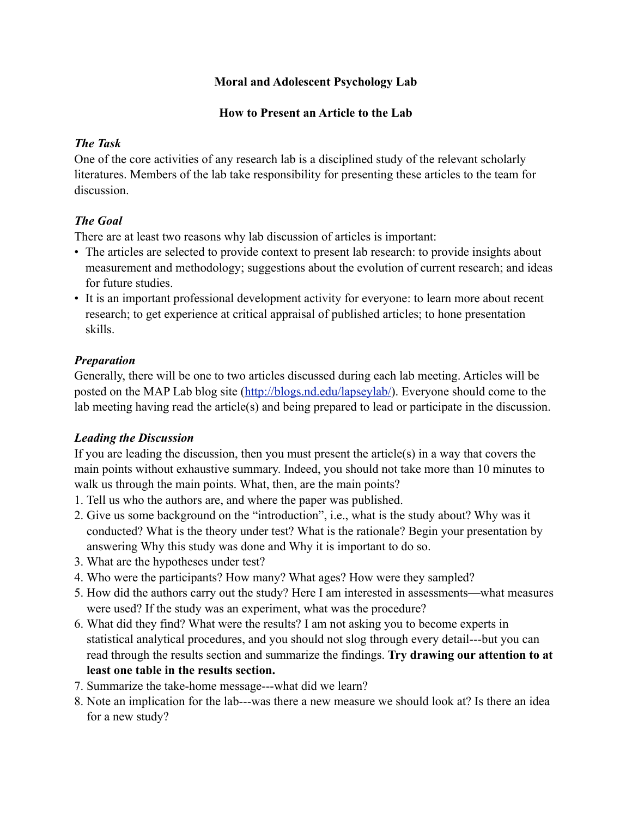#### **Moral and Adolescent Psychology Lab**

#### **How to Present an Article to the Lab**

#### *The Task*

One of the core activities of any research lab is a disciplined study of the relevant scholarly literatures. Members of the lab take responsibility for presenting these articles to the team for discussion.

# *The Goal*

There are at least two reasons why lab discussion of articles is important:

- The articles are selected to provide context to present lab research: to provide insights about measurement and methodology; suggestions about the evolution of current research; and ideas for future studies.
- It is an important professional development activity for everyone: to learn more about recent research; to get experience at critical appraisal of published articles; to hone presentation skills.

# *Preparation*

Generally, there will be one to two articles discussed during each lab meeting. Articles will be posted on the MAP Lab blog site [\(http://blogs.nd.edu/lapseylab/](http://blogs.nd.edu/lapseylab/)). Everyone should come to the lab meeting having read the article(s) and being prepared to lead or participate in the discussion.

# *Leading the Discussion*

If you are leading the discussion, then you must present the article(s) in a way that covers the main points without exhaustive summary. Indeed, you should not take more than 10 minutes to walk us through the main points. What, then, are the main points?

- 1. Tell us who the authors are, and where the paper was published.
- 2. Give us some background on the "introduction", i.e., what is the study about? Why was it conducted? What is the theory under test? What is the rationale? Begin your presentation by answering Why this study was done and Why it is important to do so.
- 3. What are the hypotheses under test?
- 4. Who were the participants? How many? What ages? How were they sampled?
- 5. How did the authors carry out the study? Here I am interested in assessments—what measures were used? If the study was an experiment, what was the procedure?
- 6. What did they find? What were the results? I am not asking you to become experts in statistical analytical procedures, and you should not slog through every detail---but you can read through the results section and summarize the findings. **Try drawing our attention to at least one table in the results section.**
- 7. Summarize the take-home message---what did we learn?
- 8. Note an implication for the lab---was there a new measure we should look at? Is there an idea for a new study?